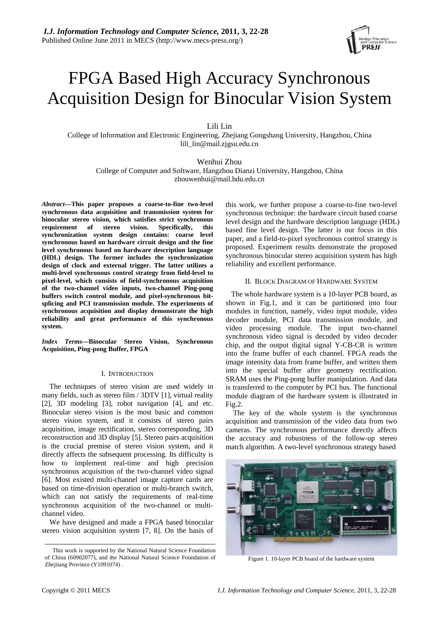

# FPGA Based High Accuracy Synchronous Acquisition Design for Binocular Vision System

Lili Lin

College of Information and Electronic Engineering, Zhejiang Gongshang University, Hangzhou, China lili\_lin@mail.zjgsu.edu.cn

Wenhui Zhou College of Computer and Software, Hangzhou Dianzi University, Hangzhou, China zhouwenhui@mail.hdu.edu.cn

*Abstract***—This paper proposes a coarse-to-fine two-level synchronous data acquisition and transmission system for binocular stereo vision, which satisfies strict synchronous requirement of stereo vision. Specifically, this synchronization system design contains: coarse level synchronous based on hardware circuit design and the fine level synchronous based on hardware description language (HDL) design. The former includes the synchronization design of clock and external trigger. The latter utilizes a multi-level synchronous control strategy from field-level to pixel-level, which consists of field-synchronous acquisition of the two-channel video inputs, two-channel Ping-pong buffers switch control module, and pixel-synchronous bitsplicing and PCI transmission module. The experiments of synchronous acquisition and display demonstrate the high reliability and great performance of this synchronous system.** 

*Index Terms***—Binocular Stereo Vision, Synchronous Acquisition, Ping-pong Buffer, FPGA** 

## I. INTRODUCTION

The techniques of stereo vision are used widely in many fields, such as stereo film / 3DTV [1], virtual reality [2], 3D modeling [3], robot navigation [4], and etc. Binocular stereo vision is the most basic and common stereo vision system, and it consists of stereo pairs acquisition, image rectification, stereo corresponding, 3D reconstruction and 3D display [5]. Stereo pairs acquisition is the crucial premise of stereo vision system, and it directly affects the subsequent processing. Its difficulty is how to implement real-time and high precision synchronous acquisition of the two-channel video signal [6]. Most existed multi-channel image capture cards are based on time-division operation or multi-branch switch, which can not satisfy the requirements of real-time synchronous acquisition of the two-channel or multichannel video.

We have designed and made a FPGA based binocular stereo vision acquisition system [7, 8]. On the basis of this work, we further propose a coarse-to-fine two-level synchronous technique: the hardware circuit based coarse level design and the hardware description language (HDL) based fine level design. The latter is our focus in this paper, and a field-to-pixel synchronous control strategy is proposed. Experiment results demonstrate the proposed synchronous binocular stereo acquisition system has high reliability and excellent performance.

## II. BLOCK DIAGRAM OF HARDWARE SYSTEM

 The whole hardware system is a 10-layer PCB board, as shown in Fig.1, and it can be partitioned into four modules in function, namely, video input module, video decoder module, PCI data transmission module, and video processing module. The input two-channel synchronous video signal is decoded by video decoder chip, and the output digital signal Y-CB-CR is written into the frame buffer of each channel. FPGA reads the image intensity data from frame buffer, and written them into the special buffer after geometry rectification. SRAM uses the Ping-pong buffer manipulation. And data is transferred to the computer by PCI bus. The functional module diagram of the hardware system is illustrated in Fig.2.

 The key of the whole system is the synchronous acquisition and transmission of the video data from two cameras. The synchronous performance directly affects the accuracy and robustness of the follow-up stereo match algorithm. A two-level synchronous strategy based



Figure 1. 10-layer PCB board of the hardware system

This work is supported by the National Natural Science Foundation of China (60902077), and the National Natural Science Foundation of Zhejiiang Province (Y1091074) .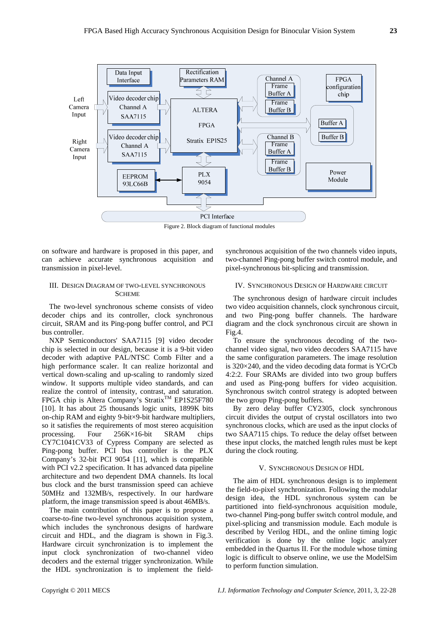

Figure 2. Block diagram of functional modules

on software and hardware is proposed in this paper, and can achieve accurate synchronous acquisition and transmission in pixel-level.

## III. DESIGN DIAGRAM OF TWO-LEVEL SYNCHRONOUS **SCHEME**

The two-level synchronous scheme consists of video decoder chips and its controller, clock synchronous circuit, SRAM and its Ping-pong buffer control, and PCI bus controller.

NXP Semiconductors' SAA7115 [9] video decoder chip is selected in our design, because it is a 9-bit video decoder with adaptive PAL/NTSC Comb Filter and a high performance scaler. It can realize horizontal and vertical down-scaling and up-scaling to randomly sized window. It supports multiple video standards, and can realize the control of intensity, contrast, and saturation. FPGA chip is Altera Company's Stratix<sup>TM</sup> EP1S25F780 [10]. It has about 25 thousands logic units, 1899K bits on-chip RAM and eighty 9-bit×9-bit hardware multipliers, so it satisfies the requirements of most stereo acquisition processing. Four 256K×16-bit SRAM chips CY7C1041CV33 of Cypress Company are selected as Ping-pong buffer. PCI bus controller is the PLX Company's 32-bit PCI 9054 [11], which is compatible with PCI v2.2 specification. It has advanced data pipeline architecture and two dependent DMA channels. Its local bus clock and the burst transmission speed can achieve 50MHz and 132MB/s, respectively. In our hardware platform, the image transmission speed is about 46MB/s.

The main contribution of this paper is to propose a coarse-to-fine two-level synchronous acquisition system, which includes the synchronous designs of hardware circuit and HDL, and the diagram is shown in Fig.3. Hardware circuit synchronization is to implement the input clock synchronization of two-channel video decoders and the external trigger synchronization. While the HDL synchronization is to implement the fieldsynchronous acquisition of the two channels video inputs, two-channel Ping-pong buffer switch control module, and pixel-synchronous bit-splicing and transmission.

## IV. SYNCHRONOUS DESIGN OF HARDWARE CIRCUIT

The synchronous design of hardware circuit includes two video acquisition channels, clock synchronous circuit, and two Ping-pong buffer channels. The hardware diagram and the clock synchronous circuit are shown in Fig.4.

To ensure the synchronous decoding of the twochannel video signal, two video decoders SAA7115 have the same configuration parameters. The image resolution is 320×240, and the video decoding data format is YCrCb 4:2:2. Four SRAMs are divided into two group buffers and used as Ping-pong buffers for video acquisition. Synchronous switch control strategy is adopted between the two group Ping-pong buffers.

By zero delay buffer CY2305, clock synchronous circuit divides the output of crystal oscillators into two synchronous clocks, which are used as the input clocks of two SAA7115 chips. To reduce the delay offset between these input clocks, the matched length rules must be kept during the clock routing.

## V. SYNCHRONOUS DESIGN OF HDL

The aim of HDL synchronous design is to implement the field-to-pixel synchronization. Following the modular design idea, the HDL synchronous system can be partitioned into field-synchronous acquisition module, two-channel Ping-pong buffer switch control module, and pixel-splicing and transmission module. Each module is described by Verilog HDL, and the online timing logic verification is done by the online logic analyzer embedded in the Quartus II. For the module whose timing logic is difficult to observe online, we use the ModelSim to perform function simulation.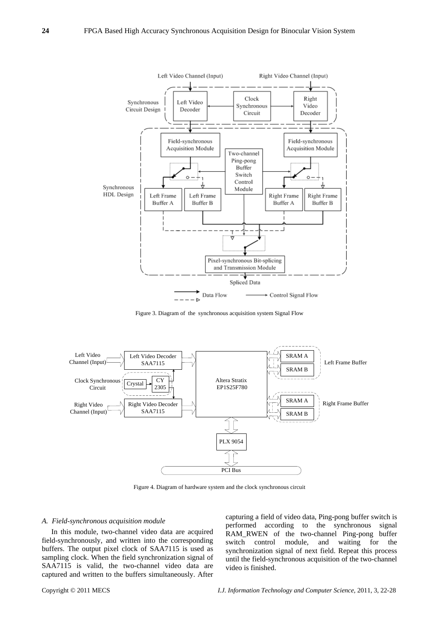

Figure 3. Diagram of the synchronous acquisition system Signal Flow



Figure 4. Diagram of hardware system and the clock synchronous circuit

#### *A. Field-synchronous acquisition module*

 In this module, two-channel video data are acquired field-synchronously, and written into the corresponding buffers. The output pixel clock of SAA7115 is used as sampling clock. When the field synchronization signal of SAA7115 is valid, the two-channel video data are captured and written to the buffers simultaneously. After capturing a field of video data, Ping-pong buffer switch is performed according to the synchronous signal RAM\_RWEN of the two-channel Ping-pong buffer switch control module, and waiting for the synchronization signal of next field. Repeat this process until the field-synchronous acquisition of the two-channel video is finished.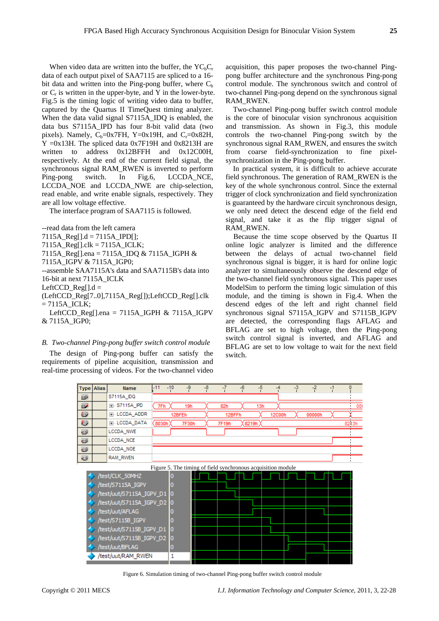When video data are written into the buffer, the  $YC<sub>b</sub>C<sub>r</sub>$ data of each output pixel of SAA7115 are spliced to a 16 bit data and written into the Ping-pong buffer, where  $C_b$ or  $C_r$  is written in the upper-byte, and Y in the lower-byte. Fig.5 is the timing logic of writing video data to buffer, captured by the Quartus II TimeQuest timing analyzer. When the data valid signal S7115A\_IDQ is enabled, the data bus S7115A\_IPD has four 8-bit valid data (two pixels). Namely,  $C_b=0x7FH$ , Y=0x19H, and C<sub>r</sub>=0x82H,  $Y = 0x13H$ . The spliced data 0x7F19H and 0x8213H are written to address  $0x12BFFH$  and  $0x12C00H$ , respectively. At the end of the current field signal, the synchronous signal RAM\_RWEN is inverted to perform Ping-pong switch. In Fig.6, LCCDA NCE, LCCDA\_NOE and LCCDA\_NWE are chip-selection, read enable, and write enable signals, respectively. They are all low voltage effective.

The interface program of SAA7115 is followed.

--read data from the left camera 7115A\_Reg[].d = 7115A\_IPD[]; 7115A\_Reg[].clk = 7115A\_ICLK; 7115A\_Reg[].ena = 7115A\_IDQ & 7115A\_IGPH & 7115A\_IGPV & 7115A\_IGP0; --assemble SAA7115A's data and SAA7115B's data into 16-bit at next 7115A\_ICLK LeftCCD Reg $[1.d =$ (LeftCCD\_Reg[7..0],7115A\_Reg[]);LeftCCD\_Reg[].clk  $= 7115A$  ICLK; LeftCCD\_Reg[].ena =  $7115A$ \_IGPH &  $7115A$ \_IGPV & 7115A\_IGP0;

## *B. Two-channel Ping-pong buffer switch control module*

The design of Ping-pong buffer can satisfy the requirements of pipeline acquisition, transmission and real-time processing of videos. For the two-channel video

acquisition, this paper proposes the two-channel Pingpong buffer architecture and the synchronous Ping-pong control module. The synchronous switch and control of two-channel Ping-pong depend on the synchronous signal RAM\_RWEN.

Two-channel Ping-pong buffer switch control module is the core of binocular vision synchronous acquisition and transmission. As shown in Fig.3, this module controls the two-channel Ping-pong switch by the synchronous signal RAM\_RWEN, and ensures the switch from coarse field-synchronization to fine pixelsynchronization in the Ping-pong buffer.

In practical system, it is difficult to achieve accurate field synchronous. The generation of RAM\_RWEN is the key of the whole synchronous control. Since the external trigger of clock synchronization and field synchronization is guaranteed by the hardware circuit synchronous design, we only need detect the descend edge of the field end signal, and take it as the flip trigger signal of RAM\_RWEN.

Because the time scope observed by the Quartus II online logic analyzer is limited and the difference between the delays of actual two-channel field synchronous signal is bigger, it is hard for online logic analyzer to simultaneously observe the descend edge of the two-channel field synchronous signal. This paper uses ModelSim to perform the timing logic simulation of this module, and the timing is shown in Fig.4. When the descend edges of the left and right channel field synchronous signal S7115A\_IGPV and S7115B\_IGPV are detected, the corresponding flags AFLAG and BFLAG are set to high voltage, then the Ping-pong switch control signal is inverted, and AFLAG and BFLAG are set to low voltage to wait for the next field switch.



Figure 6. Simulation timing of two-channel Ping-pong buffer switch control module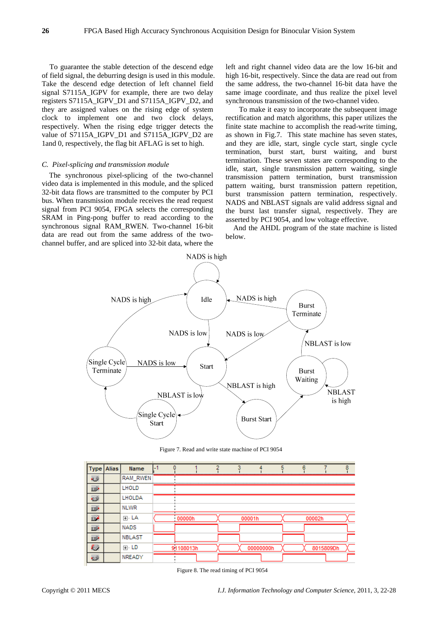To guarantee the stable detection of the descend edge of field signal, the deburring design is used in this module. Take the descend edge detection of left channel field signal S7115A\_IGPV for example, there are two delay registers S7115A\_IGPV\_D1 and S7115A\_IGPV\_D2, and they are assigned values on the rising edge of system clock to implement one and two clock delays, respectively. When the rising edge trigger detects the value of S7115A\_IGPV\_D1 and S7115A\_IGPV\_D2 are 1and 0, respectively, the flag bit AFLAG is set to high.

#### *C. Pixel-splicing and transmission module*

The synchronous pixel-splicing of the two-channel video data is implemented in this module, and the spliced 32-bit data flows are transmitted to the computer by PCI bus. When transmission module receives the read request signal from PCI 9054, FPGA selects the corresponding SRAM in Ping-pong buffer to read according to the synchronous signal RAM\_RWEN. Two-channel 16-bit data are read out from the same address of the twochannel buffer, and are spliced into 32-bit data, where the

left and right channel video data are the low 16-bit and high 16-bit, respectively. Since the data are read out from the same address, the two-channel 16-bit data have the same image coordinate, and thus realize the pixel level synchronous transmission of the two-channel video.

 To make it easy to incorporate the subsequent image rectification and match algorithms, this paper utilizes the finite state machine to accomplish the read-write timing, as shown in Fig.7.This state machine has seven states, and they are idle, start, single cycle start, single cycle termination, burst start, burst waiting, and burst termination. These seven states are corresponding to the idle, start, single transmission pattern waiting, single transmission pattern termination, burst transmission pattern waiting, burst transmission pattern repetition, burst transmission pattern termination, respectively. NADS and NBLAST signals are valid address signal and the burst last transfer signal, respectively. They are asserted by PCI 9054, and low voltage effective.

And the AHDL program of the state machine is listed below.



Figure 7. Read and write state machine of PCI 9054

| <b>Type Alias</b>    | Name          |           |        |           | A |           |          |
|----------------------|---------------|-----------|--------|-----------|---|-----------|----------|
| $\overline{\bullet}$ | RAM RWEN      |           |        |           |   |           | ******** |
| D                    | <b>LHOLD</b>  |           |        |           |   |           |          |
| ø                    | LHOLDA        |           |        |           |   |           |          |
| $\Rightarrow$        | <b>NLWR</b>   |           |        |           |   |           |          |
| D                    | ⊞-LA          | 00000h    | 00001h |           |   | 00002h    |          |
| D                    | <b>NADS</b>   |           |        |           |   |           |          |
| D                    | <b>NBLAST</b> |           |        |           |   |           |          |
| Ð                    | ⊞⊹ LD         | 91108013h |        | 00000000h |   | 8015809Dh |          |
| ωÞ                   | NREADY        |           |        |           |   |           |          |

Figure 8. The read timing of PCI 9054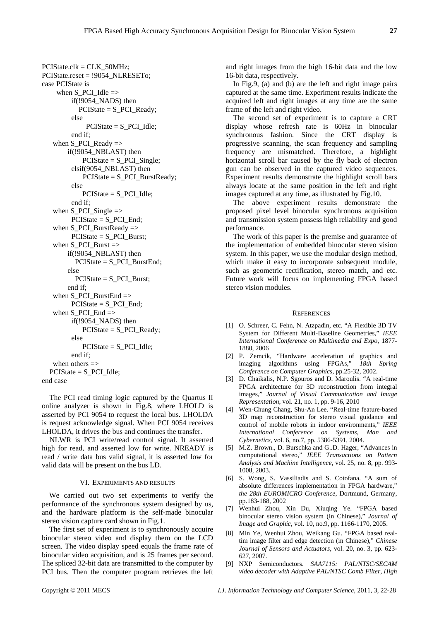PCIState.clk = CLK\_50MHz; PCIState.reset = !9054\_NLRESETo; case PCIState is when  $S_PCI$  Idle  $\Rightarrow$ if(!9054\_NADS) then  $PCIState = S$  PCI Ready; else  $PCIState = S$  PCI Idle; end if; when S\_PCI\_Ready => if(!9054\_NBLAST) then PCIState = S\_PCI\_Single; elsif(9054\_NBLAST) then PCIState = S\_PCI\_BurstReady; else  $PCIState = S$  PCI Idle; end if; when  $S_PCI_Single$  =>  $PCIState = S$   $PCI$   $End$ : when S\_PCI\_BurstReady => PCIState = S\_PCI\_Burst; when S PCI Burst  $\Rightarrow$ if(!9054\_NBLAST) then PCIState = S\_PCI\_BurstEnd; else  $PCIState = S$  PCI Burst; end if; when S\_PCI\_BurstEnd  $\Rightarrow$  $PCIState = S$  PCI End; when S PCI  $End \Rightarrow$ if(!9054\_NADS) then PCIState = S\_PCI\_Ready; else  $PCIState = S$  PCI Idle; end if; when others  $\Rightarrow$  $PCIState = S$  PCI Idle; end case

The PCI read timing logic captured by the Quartus II online analyzer is shown in Fig.8, where LHOLD is asserted by PCI 9054 to request the local bus. LHOLDA is request acknowledge signal. When PCI 9054 receives LHOLDA, it drives the bus and continues the transfer.

NLWR is PCI write/read control signal. It asserted high for read, and asserted low for write. NREADY is read / write data bus valid signal, it is asserted low for valid data will be present on the bus LD.

#### VI. EXPERIMENTS AND RESULTS

We carried out two set experiments to verify the performance of the synchronous system designed by us, and the hardware platform is the self-made binocular stereo vision capture card shown in Fig.1.

The first set of experiment is to synchronously acquire binocular stereo video and display them on the LCD screen. The video display speed equals the frame rate of binocular video acquisition, and is 25 frames per second. The spliced 32-bit data are transmitted to the computer by PCI bus. Then the computer program retrieves the left and right images from the high 16-bit data and the low 16-bit data, respectively.

In Fig.9, (a) and (b) are the left and right image pairs captured at the same time. Experiment results indicate the acquired left and right images at any time are the same frame of the left and right video.

The second set of experiment is to capture a CRT display whose refresh rate is 60Hz in binocular synchronous fashion. Since the CRT display is progressive scanning, the scan frequency and sampling frequency are mismatched. Therefore, a highlight horizontal scroll bar caused by the fly back of electron gun can be observed in the captured video sequences. Experiment results demonstrate the highlight scroll bars always locate at the same position in the left and right images captured at any time, as illustrated by Fig.10.

The above experiment results demonstrate the proposed pixel level binocular synchronous acquisition and transmission system possess high reliability and good performance.

The work of this paper is the premise and guarantee of the implementation of embedded binocular stereo vision system. In this paper, we use the modular design method, which make it easy to incorporate subsequent module, such as geometric rectification, stereo match, and etc. Future work will focus on implementing FPGA based stereo vision modules.

#### **REFERENCES**

- [1] O. Schreer, C. Fehn, N. Atzpadin, etc. "A Flexible 3D TV System for Different Multi-Baseline Geometries," *IEEE International Conference on Multimedia and Expo*, 1877- 1880, 2006
- [2] P. Zemcik, "Hardware acceleration of graphics and imaging algorithms using FPGAs," *18th Spring Conference on Computer Graphics*, pp.25-32, 2002.
- [3] D. Chaikalis, N.P. Sgouros and D. Maroulis. "A real-time FPGA architecture for 3D reconstruction from integral images," *Journal of Visual Communication and Image Representation*, vol. 21, no. 1, pp. 9-16, 2010
- [4] Wen-Chung Chang, Shu-An Lee. "Real-time feature-based 3D map reconstruction for stereo visual guidance and control of mobile robots in indoor environments," *IEEE International Conference on Systems, Man and Cybernetics*, vol. 6, no.7, pp. 5386-5391, 2004.
- [5] M.Z. Brown., D. Burschka and G..D. Hager, "Advances in computational stereo," *IEEE Transactions on Pattern Analysis and Machine Intelligence*, vol. 25, no. 8, pp. 993- 1008, 2003.
- [6] S. Wong, S. Vassiliadis and S. Cotofana. "A sum of absolute differences implementation in FPGA hardware," *the 28th EUROMICRO Conference*, Dortmund, Germany, pp.183-188, 2002
- [7] Wenhui Zhou, Xin Du, Xiuqing Ye. "FPGA based binocular stereo vision system (in Chinese)," *Journal of Image and Graphic*, vol. 10, no.9, pp. 1166-1170, 2005.
- [8] Min Ye, Wenhui Zhou, Weikang Gu. "FPGA based realtim image filter and edge detection (in Chinese)," *Chinese Journal of Sensors and Actuators*, vol. 20, no. 3, pp. 623- 627, 2007.
- [9] NXP Semiconductors. *SAA7115: PAL/NTSC/SECAM video decoder with Adaptive PAL/NTSC Comb Filter, High*